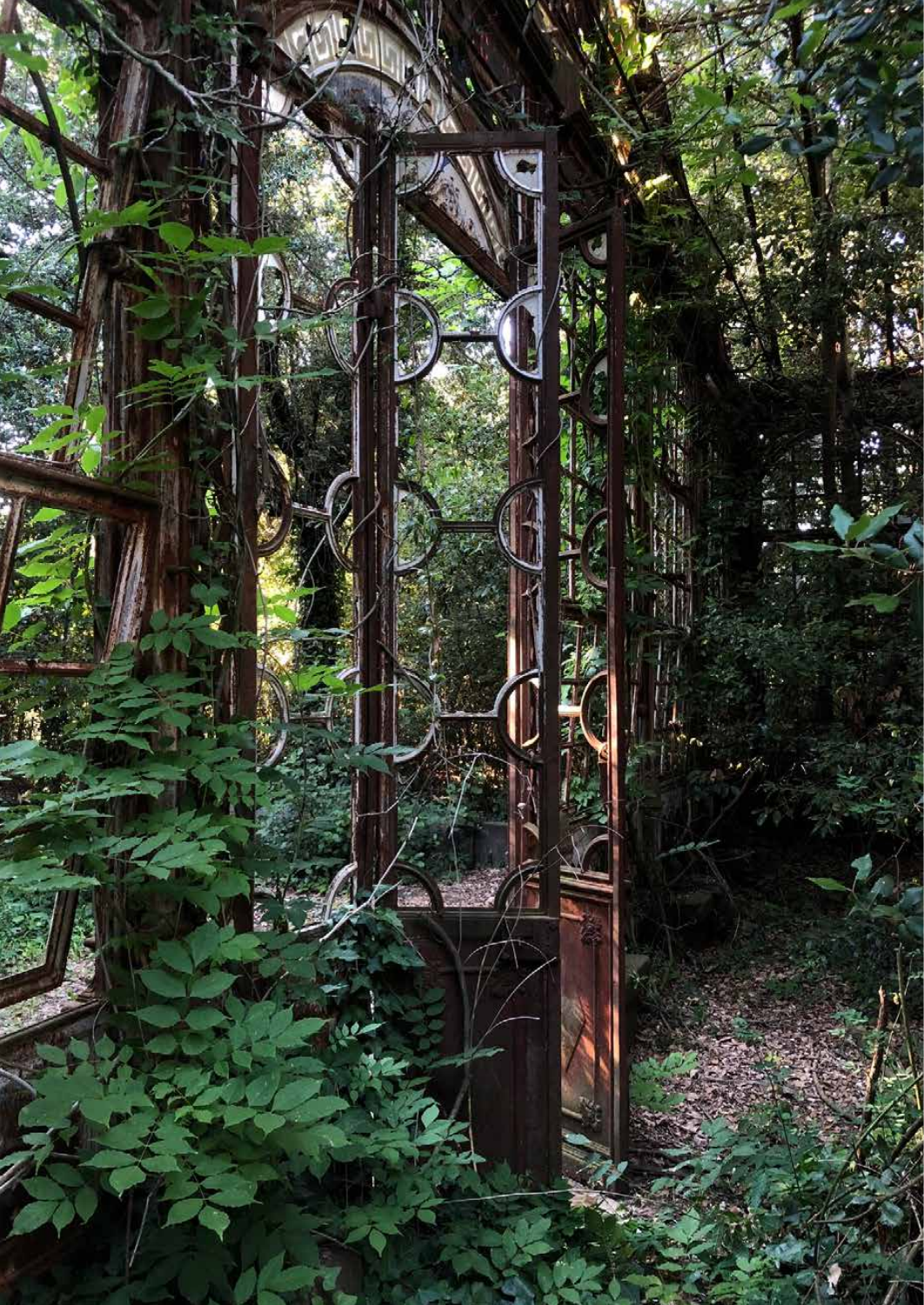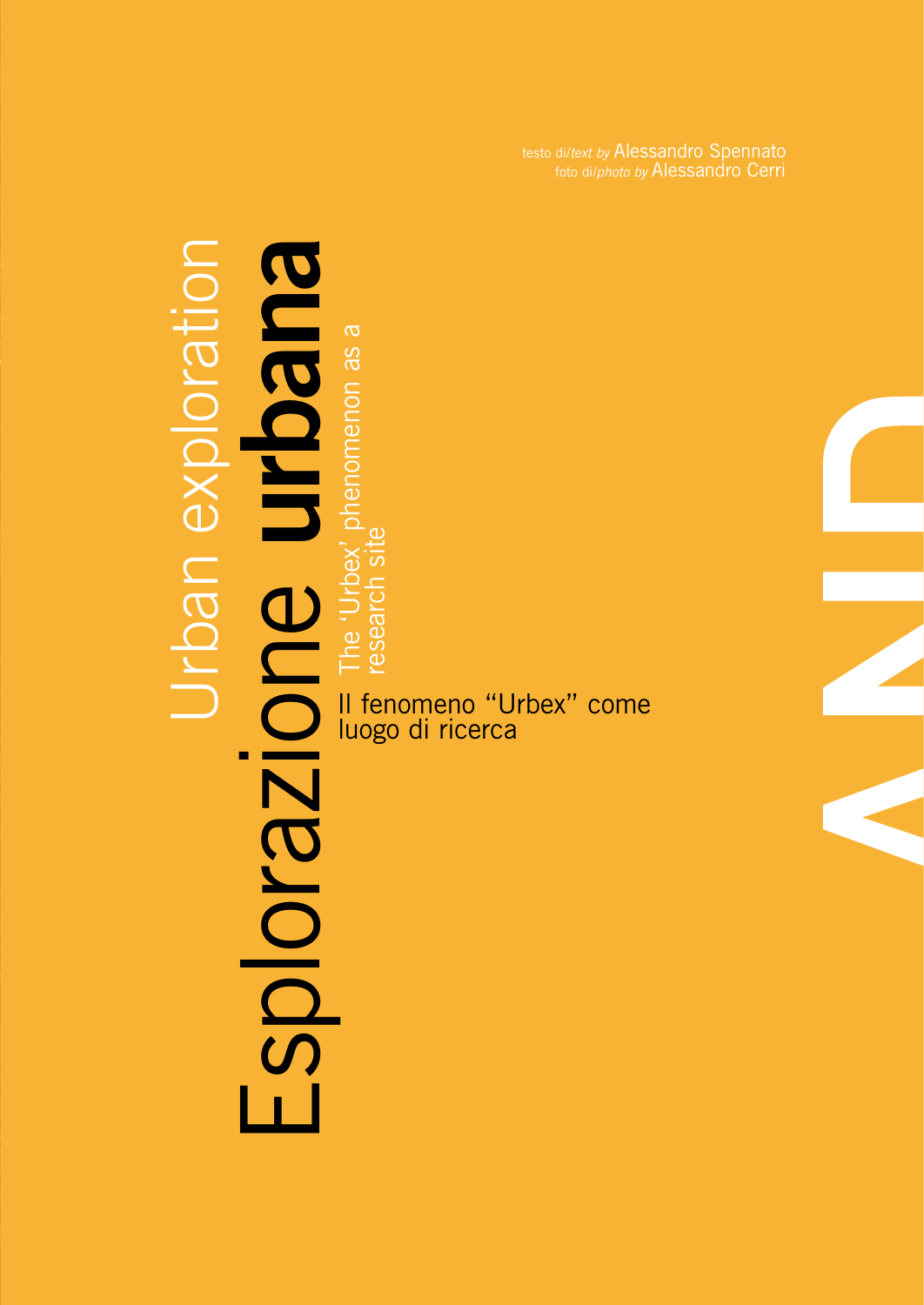Urban exploration Urban explorationESDIOIZIONC URBEDENSIE **PO** nenon as a The<sup>1</sup> 

esearch

Il fenomeno "Urbex" come luogo di ricerca

testo di/*text by* Alessandro Spennato foto di/*photo by* Alessandro Cerri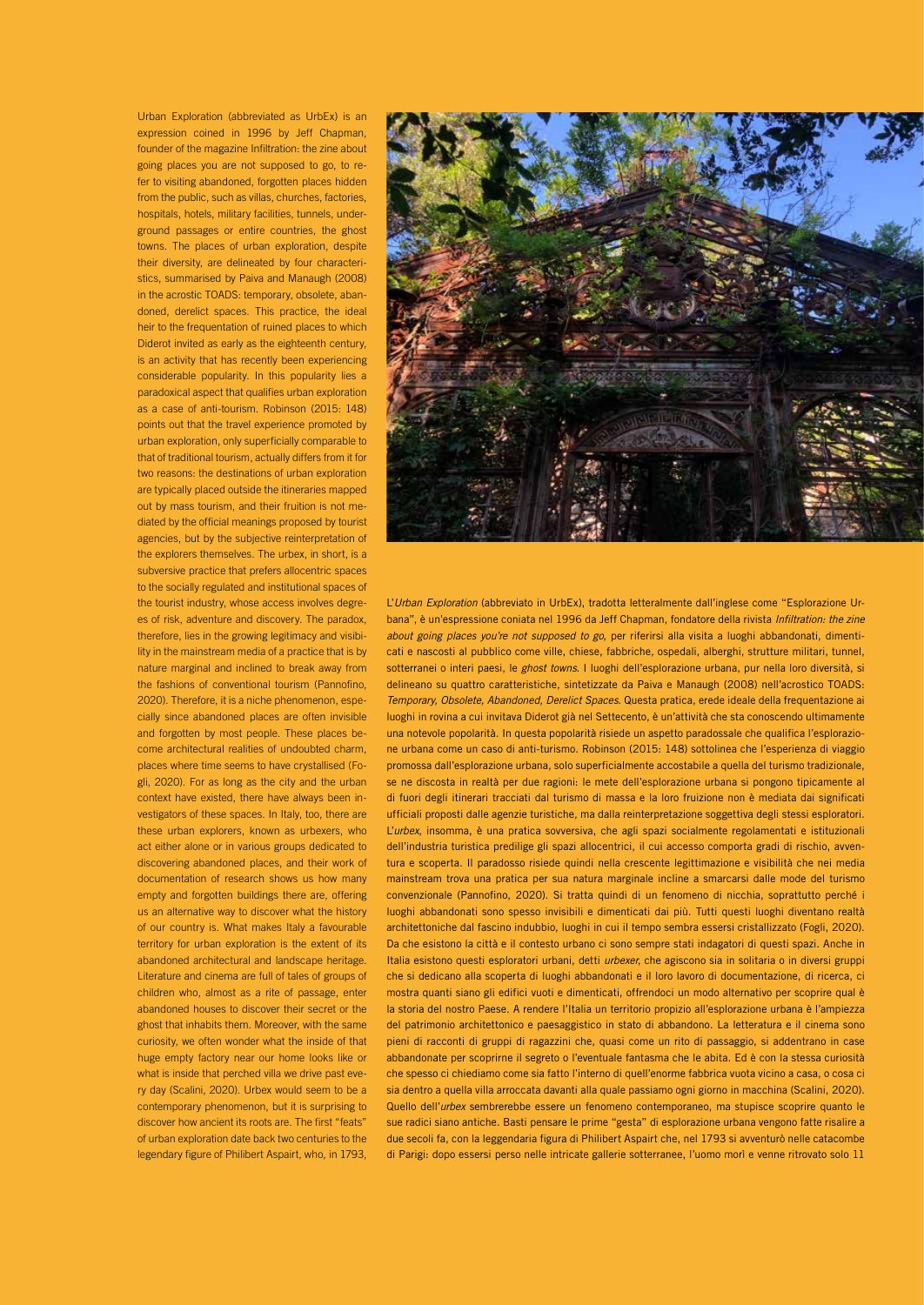Urban Exploration (abbreviated as UrbEx) is an expression coined in 1996 by Jeff Chapman, founder of the magazine Infiltration: the zine about going places you are not supposed to go, to refer to visiting abandoned, forgotten places hidden from the public, such as villas, churches, factories, hospitals, hotels, military facilities, tunnels, underground passages or entire countries, the ghost towns. The places of urban exploration, despite their diversity, are delineated by four characteristics, summarised by Paiva and Manaugh (2008) in the acrostic TOADS: temporary, obsolete, abandoned, derelict spaces. This practice, the ideal heir to the frequentation of ruined places to which Diderot invited as early as the eighteenth century, is an activity that has recently been experiencing considerable popularity. In this popularity lies a paradoxical aspect that qualifies urban exploration as a case of anti-tourism. Robinson (2015: 148) points out that the travel experience promoted by urban exploration, only superficially comparable to that of traditional tourism, actually differs from it for two reasons: the destinations of urban exploration are typically placed outside the itineraries mapped out by mass tourism, and their fruition is not mediated by the official meanings proposed by tourist agencies, but by the subjective reinterpretation of the explorers themselves. The urbex, in short, is a subversive practice that prefers allocentric spaces to the socially regulated and institutional spaces of the tourist industry, whose access involves degrees of risk, adventure and discovery. The paradox, therefore, lies in the growing legitimacy and visibility in the mainstream media of a practice that is by nature marginal and inclined to break away from the fashions of conventional tourism (Pannofino, 2020). Therefore, it is a niche phenomenon, especially since abandoned places are often invisible and forgotten by most people. These places become architectural realities of undoubted charm, places where time seems to have crystallised (Fogli, 2020). For as long as the city and the urban context have existed, there have always been investigators of these spaces. In Italy, too, there are these urban explorers, known as urbexers, who act either alone or in various groups dedicated to discovering abandoned places, and their work of documentation of research shows us how many empty and forgotten buildings there are, offering us an alternative way to discover what the history of our country is. What makes Italy a favourable territory for urban exploration is the extent of its abandoned architectural and landscape heritage. Literature and cinema are full of tales of groups of children who, almost as a rite of passage, enter abandoned houses to discover their secret or the ghost that inhabits them. Moreover, with the same curiosity, we often wonder what the inside of that huge empty factory near our home looks like or what is inside that perched villa we drive past every day (Scalini, 2020). Urbex would seem to be a contemporary phenomenon, but it is surprising to discover how ancient its roots are. The first "feats" of urban exploration date back two centuries to the legendary figure of Philibert Aspairt, who, in 1793,



L'*Urban Exploration* (abbreviato in UrbEx), tradotta letteralmente dall'inglese come "Esplorazione Urbana", è un'espressione coniata nel 1996 da Jeff Chapman, fondatore della rivista *Infiltration: the zine about going places you're not supposed to go*, per riferirsi alla visita a luoghi abbandonati, dimenticati e nascosti al pubblico come ville, chiese, fabbriche, ospedali, alberghi, strutture militari, tunnel, sotterranei o interi paesi, le *ghost towns*. I luoghi dell'esplorazione urbana, pur nella loro diversità, si delineano su quattro caratteristiche, sintetizzate da Paiva e Manaugh (2008) nell'acrostico TOADS: *Temporary, Obsolete, Abandoned, Derelict Spaces*. Questa pratica, erede ideale della frequentazione ai luoghi in rovina a cui invitava Diderot già nel Settecento, è un'attività che sta conoscendo ultimamente una notevole popolarità. In questa popolarità risiede un aspetto paradossale che qualifica l'esplorazione urbana come un caso di anti-turismo. Robinson (2015: 148) sottolinea che l'esperienza di viaggio promossa dall'esplorazione urbana, solo superficialmente accostabile a quella del turismo tradizionale, se ne discosta in realtà per due ragioni: le mete dell'esplorazione urbana si pongono tipicamente al di fuori degli itinerari tracciati dal turismo di massa e la loro fruizione non è mediata dai significati ufficiali proposti dalle agenzie turistiche, ma dalla reinterpretazione soggettiva degli stessi esploratori. L'*urbex*, insomma, è una pratica sovversiva, che agli spazi socialmente regolamentati e istituzionali dell'industria turistica predilige gli spazi allocentrici, il cui accesso comporta gradi di rischio, avventura e scoperta. Il paradosso risiede quindi nella crescente legittimazione e visibilità che nei media mainstream trova una pratica per sua natura marginale incline a smarcarsi dalle mode del turismo convenzionale (Pannofino, 2020). Si tratta quindi di un fenomeno di nicchia, soprattutto perché i luoghi abbandonati sono spesso invisibili e dimenticati dai più. Tutti questi luoghi diventano realtà architettoniche dal fascino indubbio, luoghi in cui il tempo sembra essersi cristallizzato (Fogli, 2020). Da che esistono la città e il contesto urbano ci sono sempre stati indagatori di questi spazi. Anche in Italia esistono questi esploratori urbani, detti *urbexer*, che agiscono sia in solitaria o in diversi gruppi che si dedicano alla scoperta di luoghi abbandonati e il loro lavoro di documentazione, di ricerca, ci mostra quanti siano gli edifici vuoti e dimenticati, offrendoci un modo alternativo per scoprire qual è la storia del nostro Paese. A rendere l'Italia un territorio propizio all'esplorazione urbana è l'ampiezza del patrimonio architettonico e paesaggistico in stato di abbandono. La letteratura e il cinema sono pieni di racconti di gruppi di ragazzini che, quasi come un rito di passaggio, si addentrano in case abbandonate per scoprirne il segreto o l'eventuale fantasma che le abita. Ed è con la stessa curiosità che spesso ci chiediamo come sia fatto l'interno di quell'enorme fabbrica vuota vicino a casa, o cosa ci sia dentro a quella villa arroccata davanti alla quale passiamo ogni giorno in macchina (Scalini, 2020). Quello dell'*urbex* sembrerebbe essere un fenomeno contemporaneo, ma stupisce scoprire quanto le sue radici siano antiche. Basti pensare le prime "gesta" di esplorazione urbana vengono fatte risalire a due secoli fa, con la leggendaria figura di Philibert Aspairt che, nel 1793 si avventurò nelle catacombe di Parigi: dopo essersi perso nelle intricate gallerie sotterranee, l'uomo morì e venne ritrovato solo 11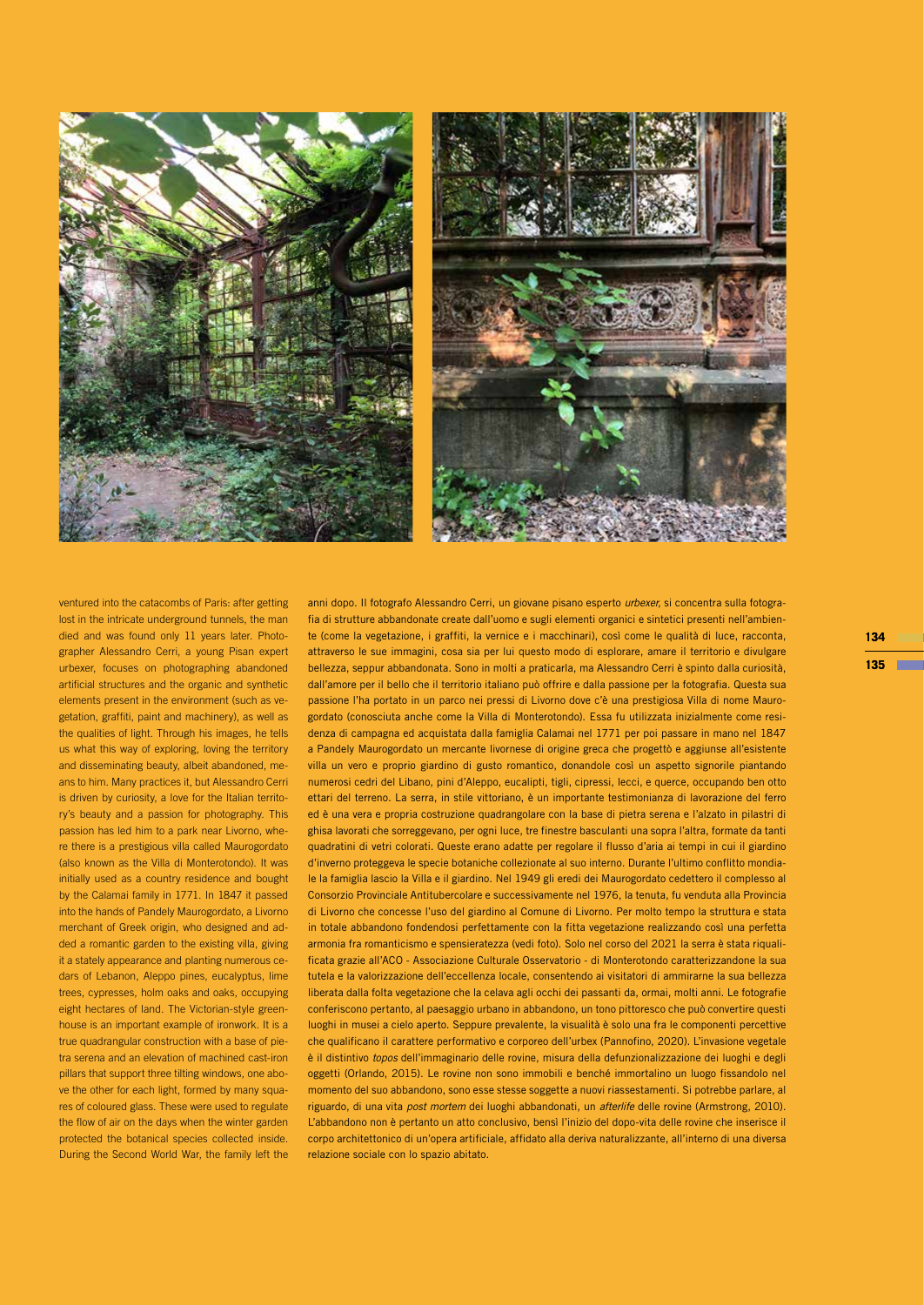



ventured into the catacombs of Paris: after getting lost in the intricate underground tunnels, the man died and was found only 11 years later. Photographer Alessandro Cerri, a young Pisan expert urbexer, focuses on photographing abandoned artificial structures and the organic and synthetic elements present in the environment (such as vegetation, graffiti, paint and machinery), as well as the qualities of light. Through his images, he tells us what this way of exploring, loving the territory and disseminating beauty, albeit abandoned, means to him. Many practices it, but Alessandro Cerri is driven by curiosity, a love for the Italian territory's beauty and a passion for photography. This passion has led him to a park near Livorno, where there is a prestigious villa called Maurogordato (also known as the Villa di Monterotondo). It was initially used as a country residence and bought by the Calamai family in 1771. In 1847 it passed into the hands of Pandely Maurogordato, a Livorno merchant of Greek origin, who designed and added a romantic garden to the existing villa, giving it a stately appearance and planting numerous cedars of Lebanon, Aleppo pines, eucalyptus, lime trees, cypresses, holm oaks and oaks, occupying eight hectares of land. The Victorian-style greenhouse is an important example of ironwork. It is a true quadrangular construction with a base of pietra serena and an elevation of machined cast-iron pillars that support three tilting windows, one above the other for each light, formed by many squares of coloured glass. These were used to regulate the flow of air on the days when the winter garden protected the botanical species collected inside. During the Second World War, the family left the

anni dopo. Il fotografo Alessandro Cerri, un giovane pisano esperto *urbexer*, si concentra sulla fotografia di strutture abbandonate create dall'uomo e sugli elementi organici e sintetici presenti nell'ambiente (come la vegetazione, i graffiti, la vernice e i macchinari), così come le qualità di luce, racconta, attraverso le sue immagini, cosa sia per lui questo modo di esplorare, amare il territorio e divulgare bellezza, seppur abbandonata. Sono in molti a praticarla, ma Alessandro Cerri è spinto dalla curiosità, dall'amore per il bello che il territorio italiano può offrire e dalla passione per la fotografia. Questa sua passione l'ha portato in un parco nei pressi di Livorno dove c'è una prestigiosa Villa di nome Maurogordato (conosciuta anche come la Villa di Monterotondo). Essa fu utilizzata inizialmente come residenza di campagna ed acquistata dalla famiglia Calamai nel 1771 per poi passare in mano nel 1847 a Pandely Maurogordato un mercante livornese di origine greca che progettò e aggiunse all'esistente villa un vero e proprio giardino di gusto romantico, donandole così un aspetto signorile piantando numerosi cedri del Libano, pini d'Aleppo, eucalipti, tigli, cipressi, lecci, e querce, occupando ben otto ettari del terreno. La serra, in stile vittoriano, è un importante testimonianza di lavorazione del ferro ed è una vera e propria costruzione quadrangolare con la base di pietra serena e l'alzato in pilastri di ghisa lavorati che sorreggevano, per ogni luce, tre finestre basculanti una sopra l'altra, formate da tanti quadratini di vetri colorati. Queste erano adatte per regolare il flusso d'aria ai tempi in cui il giardino d'inverno proteggeva le specie botaniche collezionate al suo interno. Durante l'ultimo conflitto mondiale la famiglia lascio la Villa e il giardino. Nel 1949 gli eredi dei Maurogordato cedettero il complesso al Consorzio Provinciale Antitubercolare e successivamente nel 1976, la tenuta, fu venduta alla Provincia di Livorno che concesse l'uso del giardino al Comune di Livorno. Per molto tempo la struttura e stata in totale abbandono fondendosi perfettamente con la fitta vegetazione realizzando così una perfetta armonia fra romanticismo e spensieratezza (vedi foto). Solo nel corso del 2021 la serra è stata riqualificata grazie all'ACO - Associazione Culturale Osservatorio - di Monterotondo caratterizzandone la sua tutela e la valorizzazione dell'eccellenza locale, consentendo ai visitatori di ammirarne la sua bellezza liberata dalla folta vegetazione che la celava agli occhi dei passanti da, ormai, molti anni. Le fotografie conferiscono pertanto, al paesaggio urbano in abbandono, un tono pittoresco che può convertire questi luoghi in musei a cielo aperto. Seppure prevalente, la visualità è solo una fra le componenti percettive che qualificano il carattere performativo e corporeo dell'urbex (Pannofino, 2020). L'invasione vegetale è il distintivo *topos* dell'immaginario delle rovine, misura della defunzionalizzazione dei luoghi e degli oggetti (Orlando, 2015). Le rovine non sono immobili e benché immortalino un luogo fissandolo nel momento del suo abbandono, sono esse stesse soggette a nuovi riassestamenti. Si potrebbe parlare, al riguardo, di una vita *post mortem* dei luoghi abbandonati, un *afterlife* delle rovine (Armstrong, 2010). L'abbandono non è pertanto un atto conclusivo, bensì l'inizio del dopo-vita delle rovine che inserisce il corpo architettonico di un'opera artificiale, affidato alla deriva naturalizzante, all'interno di una diversa relazione sociale con lo spazio abitato.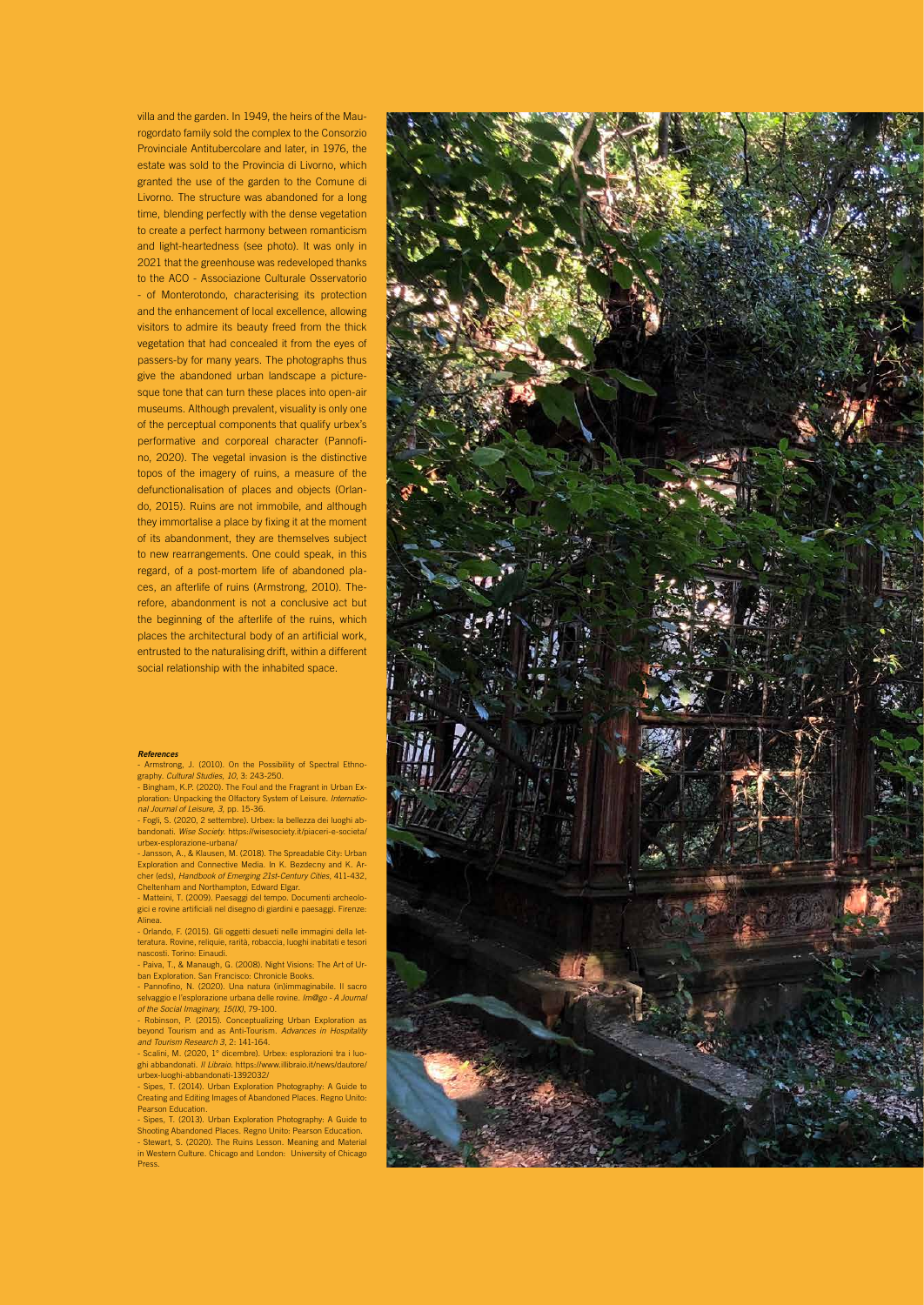villa and the garden. In 1949, the heirs of the Maurogordato family sold the complex to the Consorzio Provinciale Antitubercolare and later, in 1976, the estate was sold to the Provincia di Livorno, which granted the use of the garden to the Comune di Livorno. The structure was abandoned for a long time, blending perfectly with the dense vegetation to create a perfect harmony between romanticism and light-heartedness (see photo). It was only in 2021 that the greenhouse was redeveloped thanks to the ACO - Associazione Culturale Osservatorio - of Monterotondo, characterising its protection and the enhancement of local excellence, allowing visitors to admire its beauty freed from the thick vegetation that had concealed it from the eyes of passers-by for many years. The photographs thus give the abandoned urban landscape a picturesque tone that can turn these places into open-air museums. Although prevalent, visuality is only one of the perceptual components that qualify urbex's performative and corporeal character (Pannofino, 2020). The vegetal invasion is the distinctive topos of the imagery of ruins, a measure of the defunctionalisation of places and objects (Orlando, 2015). Ruins are not immobile, and although they immortalise a place by fixing it at the moment of its abandonment, they are themselves subject to new rearrangements. One could speak, in this regard, of a post-mortem life of abandoned places, an afterlife of ruins (Armstrong, 2010). Therefore, abandonment is not a conclusive act but the beginning of the afterlife of the ruins, which places the architectural body of an artificial work, entrusted to the naturalising drift, within a different social relationship with the inhabited space.

## *References*

Armstrong, J. (2010). On the Possibility of Spectral Ethnography. *Cultural Studies, 10*, 3: 243-250.

- Bingham, K.P. (2020). The Foul and the Fragrant in Urban Exploration: Unpacking the Olfactory System of Leisure. *Internatio-nal Journal of Leisure, 3*, pp. 15-36.

- Fogli, S. (2020, 2 settembre). Urbex: la bellezza dei luoghi abbandonati. *Wise Society*. https://wisesociety.it/piaceri-e-societa/ urbex-esplorazione-urbana/

- Jansson, A., & Klausen, M. (2018). The Spreadable City: Urban Exploration and Connective Media. In K. Bezdecny and K. Ar-cher (eds), *Handbook of Emerging 21st-Century Cities*, 411-432, Cheltenham and Northampton, Edward Elgar.

- Matteini, T. (2009). Paesaggi del tempo. Documenti archeolo-gici e rovine artificiali nel disegno di giardini e paesaggi. Firenze: Alinea.

- Orlando, F. (2015). Gli oggetti desueti nelle immagini della letteratura. Rovine, reliquie, rarità, robaccia, luoghi inabitati e tesori nascosti. Torino: Einaudi.

- Paiva, T., & Manaugh, G. (2008). Night Visions: The Art of Ur-ban Exploration. San Francisco: Chronicle Books.

- Pannofino, N. (2020). Una natura (in)immaginabile. Il sacro

selvaggio e l'esplorazione urbana delle rovine. *Im@go - A Journal of the Social Imaginary, 15(IX)*, 79-100. - Robinson, P. (2015). Conceptualizing Urban Exploration as

beyond Tourism and as Anti-Tourism. *Advances in Hospitality and Tourism Research 3*, 2: 141-164. - Scalini, M. (2020, 1° dicembre). Urbex: esplorazioni tra i luo-

ghi abbandonati. *Il Libraio*. https://www.illibraio.it/news/dautore/ urbex-luoghi-abbandonati-1392032/

- Sipes, T. (2014). Urban Exploration Photography: A Guide to Creating and Editing Images of Abandoned Places. Regno Unito: Pearson Education

- Sipes, T. (2013). Urban Exploration Photography: A Guide to Shooting Abandoned Places. Regno Unito: Pearson Education. Stewart, S. (2020). The Ruins Lesson. Meaning and Material in Western Culture. Chicago and London: University of Chicago Press.